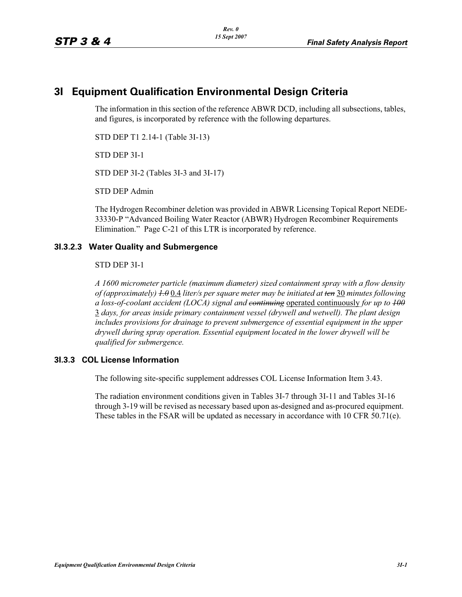# **3I Equipment Qualification Environmental Design Criteria**

The information in this section of the reference ABWR DCD, including all subsections, tables, and figures, is incorporated by reference with the following departures.

STD DEP T1 2.14-1 (Table 3I-13)

STD DEP 3I-1

STD DEP 3I-2 (Tables 3I-3 and 3I-17)

STD DEP Admin

The Hydrogen Recombiner deletion was provided in ABWR Licensing Topical Report NEDE-33330-P "Advanced Boiling Water Reactor (ABWR) Hydrogen Recombiner Requirements Elimination." Page C-21 of this LTR is incorporated by reference.

### **3I.3.2.3 Water Quality and Submergence**

#### STD DEP 3I-1

*A 1600 micrometer particle (maximum diameter) sized containment spray with a flow density of (approximately) 1.0* 0.4 *liter/s per square meter may be initiated at ten* 30 *minutes following a loss-of-coolant accident (LOCA) signal and continuing* operated continuously *for up to 100* 3 *days, for areas inside primary containment vessel (drywell and wetwell). The plant design includes provisions for drainage to prevent submergence of essential equipment in the upper drywell during spray operation. Essential equipment located in the lower drywell will be qualified for submergence.*

### **3I.3.3 COL License Information**

The following site-specific supplement addresses COL License Information Item 3.43.

The radiation environment conditions given in Tables 3I-7 through 3I-11 and Tables 3I-16 through 3-19 will be revised as necessary based upon as-designed and as-procured equipment. These tables in the FSAR will be updated as necessary in accordance with 10 CFR 50.71(e).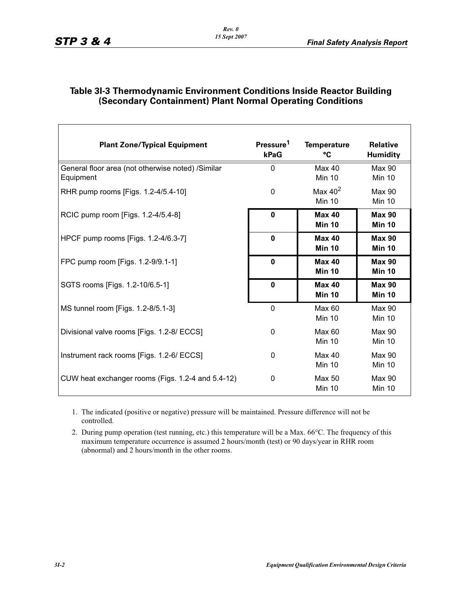| <b>Plant Zone/Typical Equipment</b>                            | Pressure <sup>1</sup><br>kPaG | <b>Temperature</b><br>°C       | <b>Relative</b><br><b>Humidity</b> |
|----------------------------------------------------------------|-------------------------------|--------------------------------|------------------------------------|
| General floor area (not otherwise noted) /Similar<br>Equipment | $\mathbf 0$                   | Max 40<br><b>Min 10</b>        | Max 90<br><b>Min 10</b>            |
| RHR pump rooms [Figs. 1.2-4/5.4-10]                            | $\mathbf 0$                   | Max $40^2$<br><b>Min 10</b>    | Max 90<br><b>Min 10</b>            |
| RCIC pump room [Figs. 1.2-4/5.4-8]                             | $\mathbf 0$                   | <b>Max 40</b><br><b>Min 10</b> | <b>Max 90</b><br><b>Min 10</b>     |
| HPCF pump rooms [Figs. 1.2-4/6.3-7]                            | $\mathbf{0}$                  | <b>Max 40</b><br><b>Min 10</b> | <b>Max 90</b><br><b>Min 10</b>     |
| FPC pump room [Figs. 1.2-9/9.1-1]                              | $\mathbf 0$                   | <b>Max 40</b><br><b>Min 10</b> | <b>Max 90</b><br><b>Min 10</b>     |
| SGTS rooms [Figs. 1.2-10/6.5-1]                                | $\mathbf 0$                   | <b>Max 40</b><br><b>Min 10</b> | <b>Max 90</b><br><b>Min 10</b>     |
| MS tunnel room [Figs. 1.2-8/5.1-3]                             | $\mathbf 0$                   | Max 60<br><b>Min 10</b>        | Max 90<br><b>Min 10</b>            |
| Divisional valve rooms [Figs. 1.2-8/ ECCS]                     | $\Omega$                      | Max 60<br><b>Min 10</b>        | Max 90<br><b>Min 10</b>            |
| Instrument rack rooms [Figs. 1.2-6/ ECCS]                      | $\mathbf 0$                   | Max 40<br><b>Min 10</b>        | Max 90<br><b>Min 10</b>            |
| CUW heat exchanger rooms (Figs. 1.2-4 and 5.4-12)              | $\mathbf{0}$                  | Max 50<br><b>Min 10</b>        | Max 90<br><b>Min 10</b>            |

## **Table 3I-3 Thermodynamic Environment Conditions Inside Reactor Building (Secondary Containment) Plant Normal Operating Conditions**

1. The indicated (positive or negative) pressure will be maintained. Pressure difference will not be controlled.

2. During pump operation (test running, etc.) this temperature will be a Max. 66°C. The frequency of this maximum temperature occurrence is assumed 2 hours/month (test) or 90 days/year in RHR room (abnormal) and 2 hours/month in the other rooms.